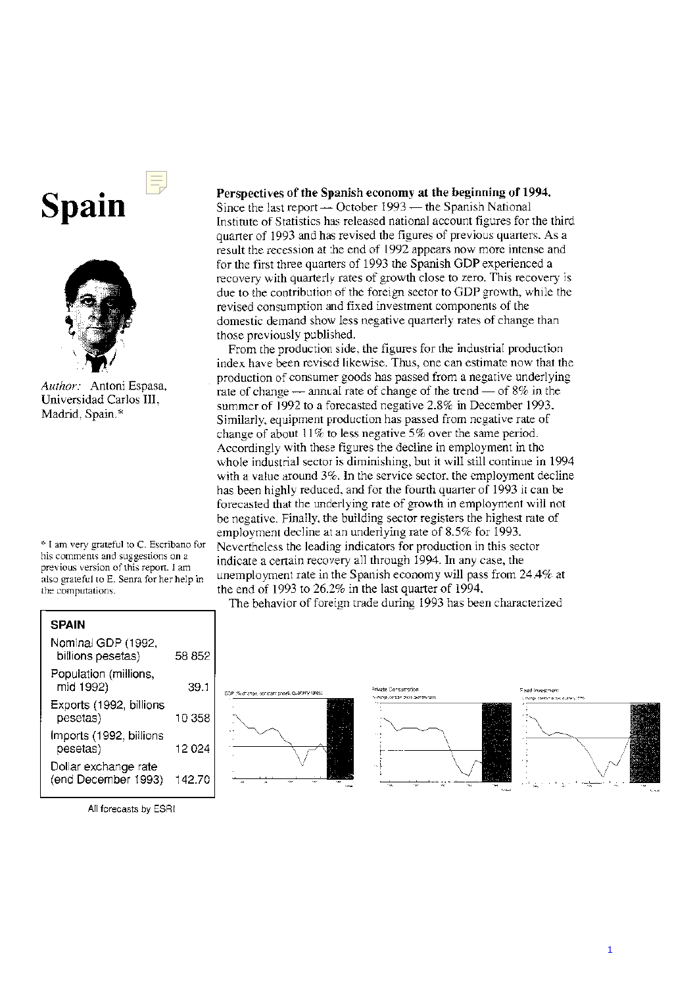## **Spain**



*Author:* Antoni Espasa, Universidad Carlos 111. Madrid, Spain.\*'

\* I am very grateful to C. Escribano for his comments and suggestions on a previous version of this report. I am also grateful to E. Senra for her help in the computations.

## Perspectives of the Spanish economy at the beginning of 1994.

Since the last report - October 1993 - the Spanish National Institute of Statistics has released national aceount figures for the third quarter of 1993 and has revised the figures of previous quarters. As a result the recession at the end of 1992 appears now more intense and for the first three quarters of 1993 the Spanish GDP experienced a recovery with quarterly rates of growth close to zero. This recovery is due to the contribution of the foreign seclor to GDP growth, while the revised consumption and fixed investment components of the domestic demand show less negative quarterly rates of change than those previously published.

Prom the production side, the figures for the industrial production index have been revised likewise. Thus, one can estimate now that the production of consumer goods has passed from a negative underlying rate of change  $-$  annual rate of change of the trend  $-$  of 8% in the summer of 1992 to a forecasted negative 2.8% in December 1993. Similarly, equipment production has passed from negative rate of change of about  $11\%$  to less negative 5% over the same period. Accordingly with these figures the decline in employment in the whole industrial sector is diminishing, but it will still continue in 1994 with a value around 3%. In the service sector. the employment decline has been highly reduced. and for the fourth quarter of 1993 it can be forecasted that the underlying rate of growth in employment will not be negative. Finally. the building sector registers the highest rate of employment decline at an underlying rate of 8.5% for 1993. Nevertheless the leading indicators for production in this sector indicate a certain recovery all through 1994. In any case, the unemployment rate in the Spanish economy will pass from 24.4% at the end of 1993 to  $26.2\%$  in the last quarter of 1994.

The behavior of foreign trade during 1993 has been characterized

| <b>SPAIN</b>                                |        |
|---------------------------------------------|--------|
| Nominal GDP (1992,<br>billions pesetas)     | 58 852 |
| Population (millions,<br>mid 1992)          | 39.1   |
| Exports (1992, billions<br>pesetas)         | 10 358 |
| Imports (1992, billions<br>pesetas)         | 12 024 |
| Dollar exchange rate<br>(end December 1993) | 142.70 |





AII forecasts by ESRI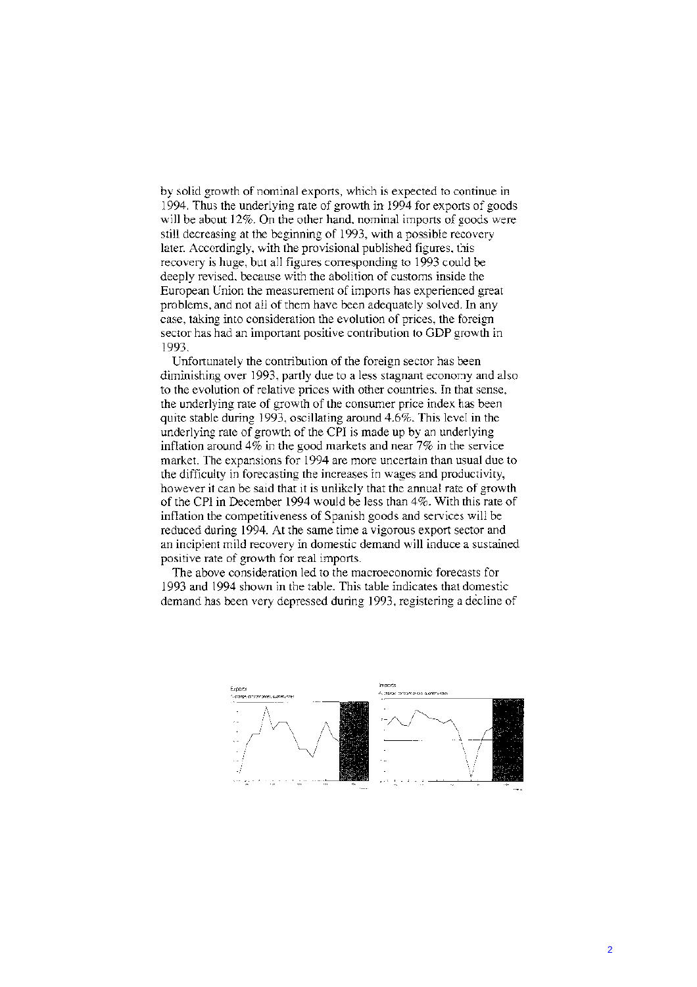by solid growth of nominal exports, which is expected to continue in 1994. Thus the underlying rate of growth in 1994 for exports of goods will be about 12%. On the other hand, nominal imports of goods were still decreasing at the beginning of 1993, with a possible recovery later. Accordingly, with the provisional published figures, this recovery is huge, but all figures corresponding to 1993 could be deeply revised, because with the abolition of customs inside the European Union the measurement of imports has experienced great problems, and not all of them have been adequately solved. In any case, taking into consideration the evolution of prices, the foreign sector has had an important positive contribution to GDP growth in 1993.

Unfortunately the contribution of the foreign sector has been diminishing over 1993, partly due to a less stagnant economy and also to the evolution of relative prices with other countries. In that sense, the underlying rate of growth of the consumer price index has been quite stable during 1993, oscillating around 4.6%. This level in the underlying rate of growth of the CPI is made up by an underlying inflation around  $4\%$  in the good markets and near 7% in the service market. The expansions for 1994 are more uncertain than usual due to the difficulty in forecasting the increases in wages and productivity, however it can be said that it is unlikely that the annual rate of growth of the CPI in December 1994 would be less than 4%. With this rate of inflation the competitiveness of Spanish goods and services will be reduced during 1994. At the same time a vigorous export sector and an incipient mild recovery in domestic demand will induce a sustained positive rate of growth for real imports.

The above consideration led to the macroeconomic forecasts for 1993 and 1994 shown in the table. This table indicates that domestic demand has been very depressed during 1993, registering a decline of

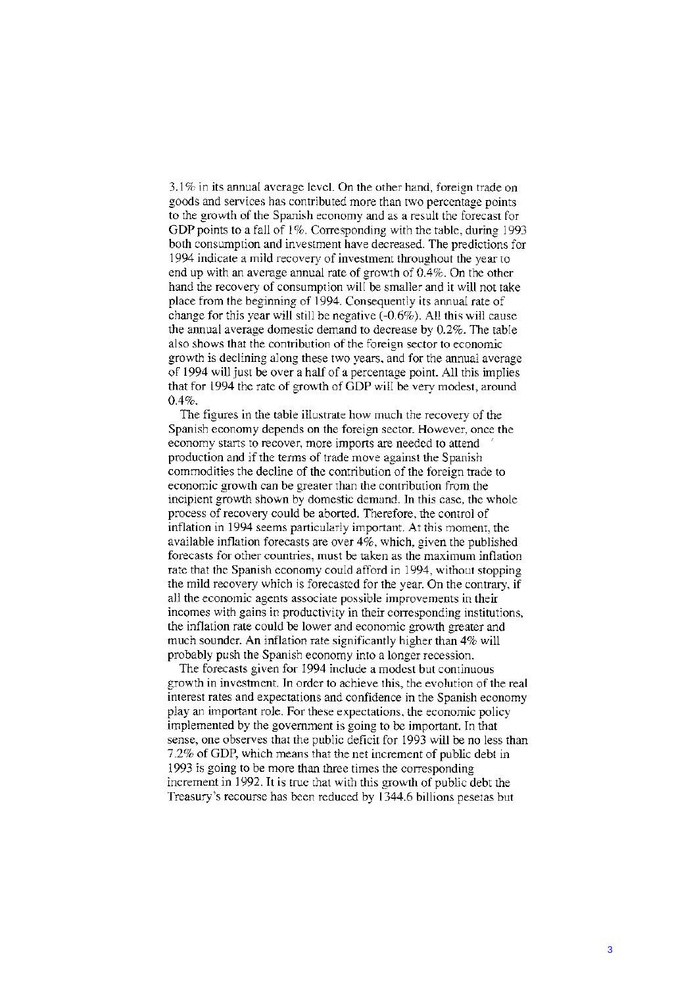$3.1\%$  in its annual average level. On the other hand, foreign trade on goods and services has contributed more than two percentage points to the growth of the Spanish economy and as a result the forecast for GDP points to a fall of 1%. Corresponding with the table, during 1993 both consumption and investment have decreased. The predictions for 1994 indicate a mild recovery of investment throughout the year to end up with an average annual rate of growth of  $0.4\%$ . On the other hand the recovery of consumption will be smaller and it will not take place from the beginning of 1994. Consequently its annual rate of change for this year will still be negative  $(-0.6\%)$ . All this will cause the annual average domestic demand to decrease by 0.2%. The table also shows that the contribution of the foreign sector to economic growth is declining along these two years, and for the annual average of 1994 will just be over a half of a percentage point. All this implies that for 1994 the rate of growth of GDP will be very modest, around  $0.4\%$ .

The figures in the table illustrate how much the recovery of the Spanish economy depends on the foreign sector. However, once the economy starts to recover, more imports are needed to attend production and if the terms of trade move against the Spanish commodities the decline of the contribution of the foreign trade to economic growth can be greater than the contribution from the incipient growth shown by domestic demand. In this case, the whole process of recovery could be aborted. Therefore, the control of inflation in 1994 seems particularly important. At this moment, the available inflation forecasts are over 4%, which, given the published forecasts for other countries, must be taken as the maximum inflation rate that the Spanish economy could afford in 1994, without stopping the mild recovery which is forecasted for the year. On the contrary, if all the economic agents associate possible improvements in their incomes with gains in productivity in their corresponding institutions, the inflation rate could be lower and economic growth greater and much sounder. An inflation rate significantly higher than 4% will probably push the Spanish economy into a longer recession.

The forecasts given for 1994 include a modest but continuous growth in investment. In order to achieve this, the evolution of the real interest rates and expectations and confidence in the Spanish economy play an important role. For these expectations, the economic policy implemented by the government is going to be important. In that sense, one observes that the public deficit for 1993 will be no less than 7.2% of GDP, which means that the net increment of public debt in 1993 is going to be more than three times the corresponding increment in 1992. It is true that with this growth of public debt the Treasury's recourse has been reduced by 1344.6 billions pesetas but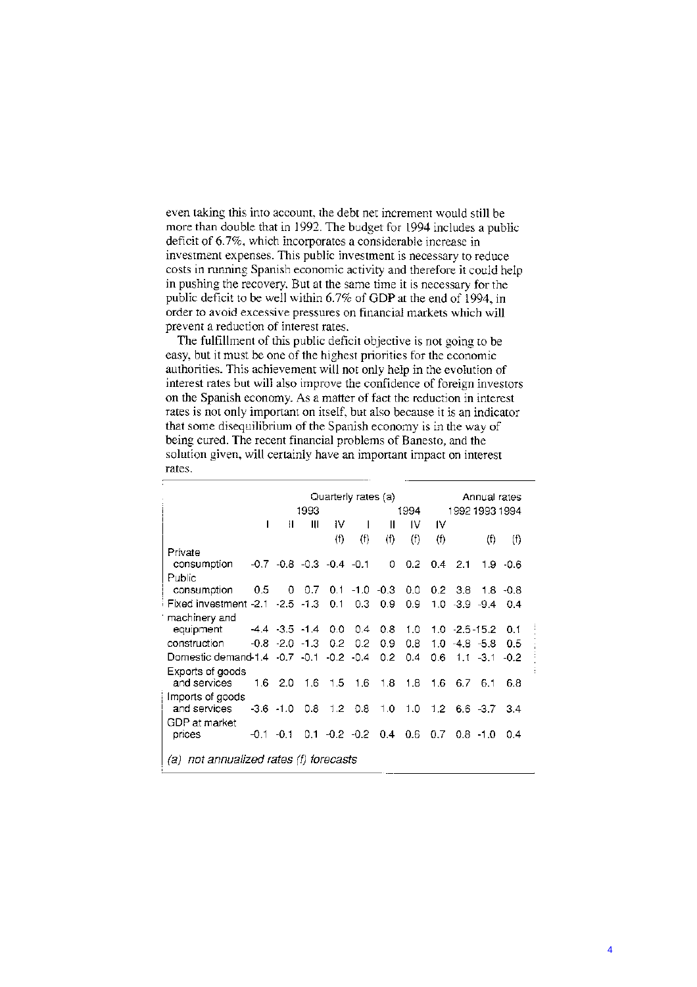even taking this into account, the debt net increment would still be more than double that in 1992. The budget for 1994 includes a public deficit of 6.7%, which incorporates a considerable increase in investment expenses. This public investment is necessary to reduce costs in running Spanish economic activity and therefore it could help in pushing the recovery. But at the same time it is necessary for the public deficit to be well within 6.7% of GDP at the end of 1994, in order to avoid excessive pressures on financial markets which will prevent a reduction of interest rates.

The fulfillment of this public deficit objective is not going to be easy, but it must be one of the highest priorities for the economic authorities. This achievement will not only help in the evolution of interest rates but will also improve the confidence of foreign investors on the Spanish economy. As a matter of fact the reduction in interest rates is not only important on itself, but also because it is an indicator that some disequilibrium of the Spanish economy is in the way of being cured. The recent financial problems of Banesto, and the solution given, will certainly have an important impact on interest rates.

|                                             |     | Quarterly rates (a)<br>1993<br>1994 |                                    |                  |                           |               | Annual rates<br>1992 1993 1994 |               |                    |                                   |             |
|---------------------------------------------|-----|-------------------------------------|------------------------------------|------------------|---------------------------|---------------|--------------------------------|---------------|--------------------|-----------------------------------|-------------|
|                                             | I   | Ш                                   | Ш                                  | IV               | $\mathbf{I}$              | Ш             | IV                             | IV            |                    |                                   |             |
|                                             |     |                                     |                                    | (f)              | (f)                       | (f)           | (f)                            | (f)           |                    | (f)                               | $^{(f)}$    |
| Private                                     |     |                                     |                                    |                  |                           |               |                                |               |                    |                                   |             |
| consumption                                 |     |                                     | $-0.7$ $-0.8$ $-0.3$ $-0.4$ $-0.1$ |                  |                           | 0             | 0.2                            | $0.4^{\circ}$ | -2.1               |                                   | $1.9 - 0.6$ |
| Public                                      |     |                                     |                                    |                  |                           |               |                                |               |                    |                                   |             |
| consumption                                 | 0.5 | 0                                   | 0.7                                |                  | $0.1 - 1.0 - 0.3$         |               | 0.0                            |               | $0.2 \quad 3.8$    |                                   | $1.8 - 0.8$ |
| Fixed investment -2.1 -2.5 -1.3 .           |     |                                     |                                    | 0.1              | 0.3                       | 0.9           | 0.9                            |               | $1.0 - 3.9 - 9.4$  |                                   | 0.4         |
| machinery and                               |     |                                     |                                    |                  |                           |               |                                |               |                    |                                   |             |
| equipment                                   |     |                                     | $-4.4$ $-3.5$ $-1.4$               | 0.0              | 0.4                       | 0.8           | 1.0                            |               | $1.0 - 2.5 - 15.2$ |                                   | 0.1         |
| construction                                |     | $-0.8 - 2.0 - 1.3$                  |                                    | 0.2 <sub>2</sub> | 0.2                       | 0.9           | 0.8                            |               | $1.0 - 4.8 - 5.8$  |                                   | 0.5         |
| Domestic demand 1.4 - 0.7 - 0.1 - 0.2 - 0.4 |     |                                     |                                    |                  |                           | $0.2^{\circ}$ | 0.4                            | 0.6           |                    | $1.1 - 3.1$                       | $-0.2$      |
| Exports of goods                            |     |                                     |                                    |                  |                           |               |                                |               |                    |                                   |             |
| and services                                |     | $1.6$ 2.0                           | $1.6$ 1.5 1.6                      |                  |                           | 1.8           | 1.8                            | 1.6           | 6.7                | 6.1                               | 6.8         |
| Imports of goods                            |     |                                     |                                    |                  |                           |               |                                |               |                    |                                   |             |
| and services                                |     | $-3.6 - 1.0$                        | $0.8$ 1.2 0.8                      |                  |                           |               | $1.0 \quad 1.0$                |               |                    | $1.2\quad 6.6\quad -3.7\quad 3.4$ |             |
| GDP at market                               |     |                                     |                                    |                  |                           |               |                                |               |                    |                                   |             |
| prices                                      |     | $-0.1 - 0.1$                        |                                    |                  | $0.1 - 0.2 - 0.2$ 0.4 0.6 |               |                                | 0.7           |                    | $0.8 - 1.0$                       | 0.4         |
| $(a)$ not annualized rates $(f)$ forecasts  |     |                                     |                                    |                  |                           |               |                                |               |                    |                                   |             |